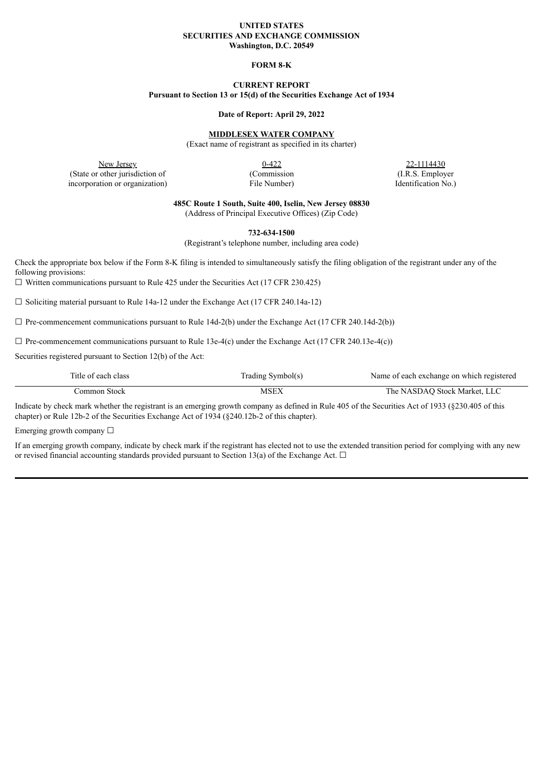### **UNITED STATES SECURITIES AND EXCHANGE COMMISSION Washington, D.C. 20549**

## **FORM 8-K**

# **CURRENT REPORT**

**Pursuant to Section 13 or 15(d) of the Securities Exchange Act of 1934**

### **Date of Report: April 29, 2022**

# **MIDDLESEX WATER COMPANY**

(Exact name of registrant as specified in its charter)

New Jersey 22-1114430<br>
0-422 22-1114430 (State or other jurisdiction of (Commission (I.R.S. Employer incorporation or organization) File Number) File Number (Identification No.)

**485C Route 1 South, Suite 400, Iselin, New Jersey 08830**

(Address of Principal Executive Offices) (Zip Code)

**732-634-1500**

(Registrant's telephone number, including area code)

Check the appropriate box below if the Form 8-K filing is intended to simultaneously satisfy the filing obligation of the registrant under any of the following provisions:

 $\Box$  Written communications pursuant to Rule 425 under the Securities Act (17 CFR 230.425)

 $\Box$  Soliciting material pursuant to Rule 14a-12 under the Exchange Act (17 CFR 240.14a-12)

 $\Box$  Pre-commencement communications pursuant to Rule 14d-2(b) under the Exchange Act (17 CFR 240.14d-2(b))

 $\Box$  Pre-commencement communications pursuant to Rule 13e-4(c) under the Exchange Act (17 CFR 240.13e-4(c))

Securities registered pursuant to Section 12(b) of the Act:

| Title of each class | Trading Symbol(s) | Name of each exchange on which registered |
|---------------------|-------------------|-------------------------------------------|
| Jommon Stock-       | MSEX              | The NASDAO Stock Market, LLC              |

Indicate by check mark whether the registrant is an emerging growth company as defined in Rule 405 of the Securities Act of 1933 (§230.405 of this chapter) or Rule 12b-2 of the Securities Exchange Act of 1934 (§240.12b-2 of this chapter).

Emerging growth company  $\Box$ 

If an emerging growth company, indicate by check mark if the registrant has elected not to use the extended transition period for complying with any new or revised financial accounting standards provided pursuant to Section 13(a) of the Exchange Act.  $\Box$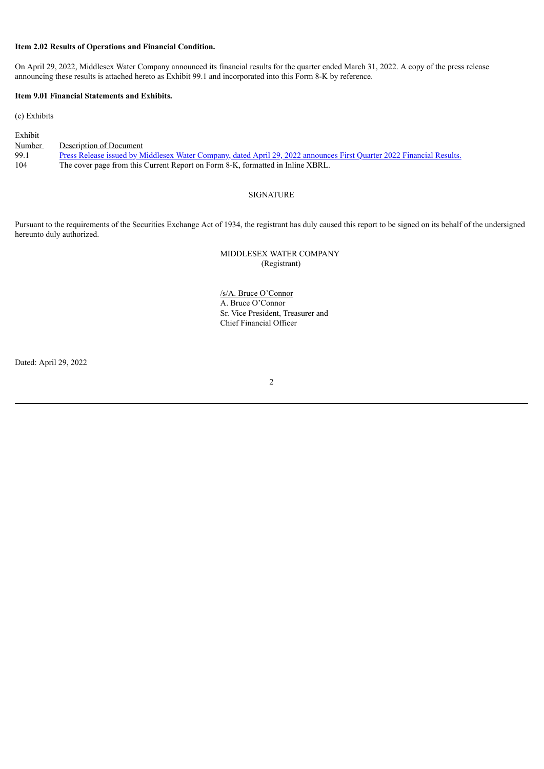## **Item 2.02 Results of Operations and Financial Condition.**

On April 29, 2022, Middlesex Water Company announced its financial results for the quarter ended March 31, 2022. A copy of the press release announcing these results is attached hereto as Exhibit 99.1 and incorporated into this Form 8-K by reference.

# **Item 9.01 Financial Statements and Exhibits.**

(c) Exhibits

| Exhibit       |                                                                                                                       |
|---------------|-----------------------------------------------------------------------------------------------------------------------|
| <u>Number</u> | Description of Document                                                                                               |
| 99.1          | Press Release issued by Middlesex Water Company, dated April 29, 2022 announces First Quarter 2022 Financial Results. |
| 104           | The cover page from this Current Report on Form 8-K, formatted in Inline XBRL.                                        |

## SIGNATURE

Pursuant to the requirements of the Securities Exchange Act of 1934, the registrant has duly caused this report to be signed on its behalf of the undersigned hereunto duly authorized.

## MIDDLESEX WATER COMPANY (Registrant)

/s/A. Bruce O'Connor A. Bruce O'Connor Sr. Vice President, Treasurer and Chief Financial Officer

Dated: April 29, 2022

2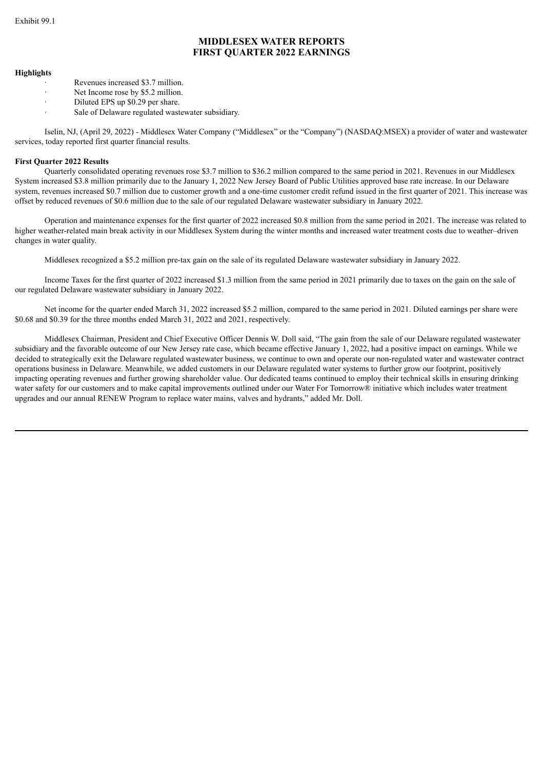# **MIDDLESEX WATER REPORTS FIRST QUARTER 2022 EARNINGS**

### <span id="page-2-0"></span>**Highlights**

- Revenues increased \$3.7 million.
- Net Income rose by \$5.2 million.
- Diluted EPS up \$0.29 per share.
- Sale of Delaware regulated wastewater subsidiary.

Iselin, NJ, (April 29, 2022) *-* Middlesex Water Company ("Middlesex" or the "Company") (NASDAQ:MSEX) a provider of water and wastewater services, today reported first quarter financial results.

### **First Quarter 2022 Results**

Quarterly consolidated operating revenues rose \$3.7 million to \$36.2 million compared to the same period in 2021. Revenues in our Middlesex System increased \$3.8 million primarily due to the January 1, 2022 New Jersey Board of Public Utilities approved base rate increase. In our Delaware system, revenues increased \$0.7 million due to customer growth and a one-time customer credit refund issued in the first quarter of 2021. This increase was offset by reduced revenues of \$0.6 million due to the sale of our regulated Delaware wastewater subsidiary in January 2022.

Operation and maintenance expenses for the first quarter of 2022 increased \$0.8 million from the same period in 2021. The increase was related to higher weather-related main break activity in our Middlesex System during the winter months and increased water treatment costs due to weather–driven changes in water quality.

Middlesex recognized a \$5.2 million pre-tax gain on the sale of its regulated Delaware wastewater subsidiary in January 2022.

Income Taxes for the first quarter of 2022 increased \$1.3 million from the same period in 2021 primarily due to taxes on the gain on the sale of our regulated Delaware wastewater subsidiary in January 2022.

Net income for the quarter ended March 31, 2022 increased \$5.2 million, compared to the same period in 2021. Diluted earnings per share were \$0.68 and \$0.39 for the three months ended March 31, 2022 and 2021, respectively.

Middlesex Chairman, President and Chief Executive Officer Dennis W. Doll said, "The gain from the sale of our Delaware regulated wastewater subsidiary and the favorable outcome of our New Jersey rate case, which became effective January 1, 2022, had a positive impact on earnings. While we decided to strategically exit the Delaware regulated wastewater business, we continue to own and operate our non-regulated water and wastewater contract operations business in Delaware. Meanwhile, we added customers in our Delaware regulated water systems to further grow our footprint, positively impacting operating revenues and further growing shareholder value. Our dedicated teams continued to employ their technical skills in ensuring drinking water safety for our customers and to make capital improvements outlined under our Water For Tomorrow® initiative which includes water treatment upgrades and our annual RENEW Program to replace water mains, valves and hydrants," added Mr. Doll.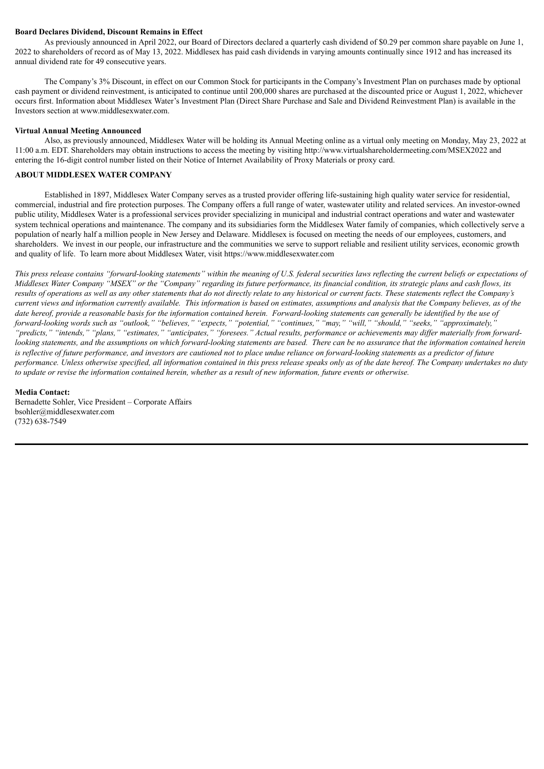## **Board Declares Dividend, Discount Remains in Effect**

As previously announced in April 2022, our Board of Directors declared a quarterly cash dividend of \$0.29 per common share payable on June 1, 2022 to shareholders of record as of May 13, 2022. Middlesex has paid cash dividends in varying amounts continually since 1912 and has increased its annual dividend rate for 49 consecutive years.

The Company's 3% Discount, in effect on our Common Stock for participants in the Company's Investment Plan on purchases made by optional cash payment or dividend reinvestment, is anticipated to continue until 200,000 shares are purchased at the discounted price or August 1, 2022, whichever occurs first. Information about Middlesex Water's Investment Plan (Direct Share Purchase and Sale and Dividend Reinvestment Plan) is available in the Investors section at www.middlesexwater.com.

### **Virtual Annual Meeting Announced**

Also, as previously announced, Middlesex Water will be holding its Annual Meeting online as a virtual only meeting on Monday, May 23, 2022 at 11:00 a.m. EDT. Shareholders may obtain instructions to access the meeting by visiting http://www.virtualshareholdermeeting.com/MSEX2022 and entering the 16-digit control number listed on their Notice of Internet Availability of Proxy Materials or proxy card.

# **ABOUT MIDDLESEX WATER COMPANY**

Established in 1897, Middlesex Water Company serves as a trusted provider offering life-sustaining high quality water service for residential, commercial, industrial and fire protection purposes. The Company offers a full range of water, wastewater utility and related services. An investor-owned public utility, Middlesex Water is a professional services provider specializing in municipal and industrial contract operations and water and wastewater system technical operations and maintenance. The company and its subsidiaries form the Middlesex Water family of companies, which collectively serve a population of nearly half a million people in New Jersey and Delaware. Middlesex is focused on meeting the needs of our employees, customers, and shareholders. We invest in our people, our infrastructure and the communities we serve to support reliable and resilient utility services, economic growth and quality of life. To learn more about Middlesex Water, visit https://www.middlesexwater.com

This press release contains "forward-looking statements" within the meaning of U.S. federal securities laws reflecting the current beliefs or expectations of Middlesex Water Company "MSEX" or the "Company" regarding its future performance, its financial condition, its strategic plans and cash flows, its results of operations as well as any other statements that do not directly relate to any historical or current facts. These statements reflect the Company's current views and information currently available. This information is based on estimates, assumptions and analysis that the Company believes, as of the date hereof, provide a reasonable basis for the information contained herein. Forward-looking statements can generally be identified by the use of forward-looking words such as "outlook," "believes," "expects," "potential," "continues," "may," "will," "should," "seeks," "approximately," "predicts," "intends," "plans," "estimates," "anticipates," "foresees." Actual results, performance or achievements may differ materially from forwardlooking statements, and the assumptions on which forward-looking statements are based. There can be no assurance that the information contained herein is reflective of future performance, and investors are cautioned not to place undue reliance on forward-looking statements as a predictor of future performance. Unless otherwise specified, all information contained in this press release speaks only as of the date hereof. The Company undertakes no duty to update or revise the information contained herein, whether as a result of new information, future events or otherwise.

#### **Media Contact:**

Bernadette Sohler, Vice President – Corporate Affairs bsohler@middlesexwater.com (732) 638-7549